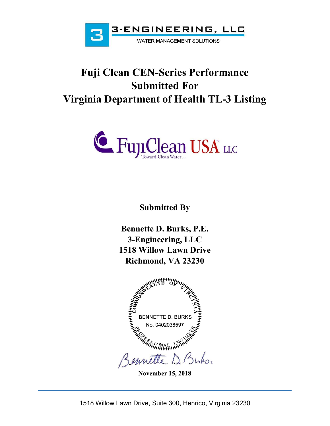

# **Fuji Clean CEN-Series Performance Submitted For Virginia Department of Health TL-3 Listing**



**Submitted By** 

**Bennette D. Burks, P.E. 3-Engineering, LLC 1518 Willow Lawn Drive Richmond, VA 23230** 



**November 15, 2018**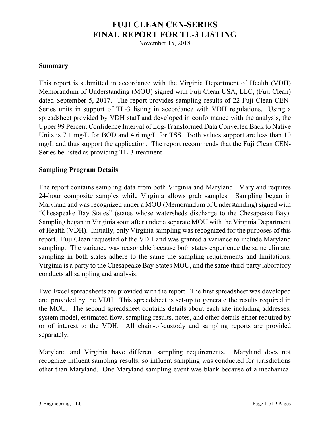# **FUJI CLEAN CEN-SERIES FINAL REPORT FOR TL-3 LISTING**

November 15, 2018

### **Summary**

This report is submitted in accordance with the Virginia Department of Health (VDH) Memorandum of Understanding (MOU) signed with Fuji Clean USA, LLC, (Fuji Clean) dated September 5, 2017. The report provides sampling results of 22 Fuji Clean CEN-Series units in support of TL-3 listing in accordance with VDH regulations. Using a spreadsheet provided by VDH staff and developed in conformance with the analysis, the Upper 99 Percent Confidence Interval of Log-Transformed Data Converted Back to Native Units is 7.1 mg/L for BOD and 4.6 mg/L for TSS. Both values support are less than 10 mg/L and thus support the application. The report recommends that the Fuji Clean CEN-Series be listed as providing TL-3 treatment.

## **Sampling Program Details**

The report contains sampling data from both Virginia and Maryland. Maryland requires 24-hour composite samples while Virginia allows grab samples. Sampling began in Maryland and was recognized under a MOU (Memorandum of Understanding) signed with "Chesapeake Bay States" (states whose watersheds discharge to the Chesapeake Bay). Sampling began in Virginia soon after under a separate MOU with the Virginia Department of Health (VDH). Initially, only Virginia sampling was recognized for the purposes of this report. Fuji Clean requested of the VDH and was granted a variance to include Maryland sampling. The variance was reasonable because both states experience the same climate, sampling in both states adhere to the same the sampling requirements and limitations, Virginia is a party to the Chesapeake Bay States MOU, and the same third-party laboratory conducts all sampling and analysis.

Two Excel spreadsheets are provided with the report. The first spreadsheet was developed and provided by the VDH. This spreadsheet is set-up to generate the results required in the MOU. The second spreadsheet contains details about each site including addresses, system model, estimated flow, sampling results, notes, and other details either required by or of interest to the VDH. All chain-of-custody and sampling reports are provided separately.

Maryland and Virginia have different sampling requirements. Maryland does not recognize influent sampling results, so influent sampling was conducted for jurisdictions other than Maryland. One Maryland sampling event was blank because of a mechanical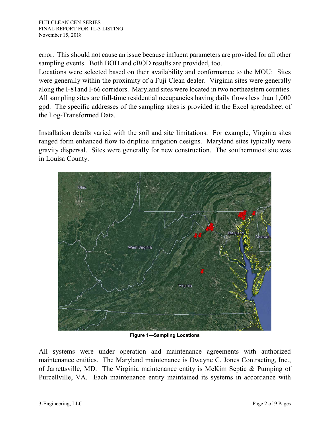error. This should not cause an issue because influent parameters are provided for all other sampling events. Both BOD and cBOD results are provided, too.

Locations were selected based on their availability and conformance to the MOU: Sites were generally within the proximity of a Fuji Clean dealer. Virginia sites were generally along the I-81and I-66 corridors. Maryland sites were located in two northeastern counties. All sampling sites are full-time residential occupancies having daily flows less than 1,000 gpd. The specific addresses of the sampling sites is provided in the Excel spreadsheet of the Log-Transformed Data.

Installation details varied with the soil and site limitations. For example, Virginia sites ranged form enhanced flow to dripline irrigation designs. Maryland sites typically were gravity dispersal. Sites were generally for new construction. The southernmost site was in Louisa County.



**Figure 1—Sampling Locations** 

All systems were under operation and maintenance agreements with authorized maintenance entities. The Maryland maintenance is Dwayne C. Jones Contracting, Inc., of Jarrettsville, MD. The Virginia maintenance entity is McKim Septic & Pumping of Purcellville, VA. Each maintenance entity maintained its systems in accordance with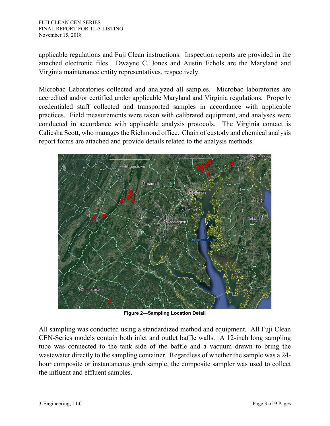applicable regulations and Fuji Clean instructions. Inspection reports are provided in the attached electronic files. Dwayne C. Jones and Austin Echols are the Maryland and Virginia maintenance entity representatives, respectively.

Microbac Laboratories collected and analyzed all samples. Microbac laboratories are accredited and/or certified under applicable Maryland and Virginia regulations. Properly credentialed staff collected and transported samples in accordance with applicable practices. Field measurements were taken with calibrated equipment, and analyses were conducted in accordance with applicable analysis protocols. The Virginia contact is Caliesha Scott, who manages the Richmond office. Chain of custody and chemical analysis report forms are attached and provide details related to the analysis methods.



**Figure 2—Sampling Location Detail** 

All sampling was conducted using a standardized method and equipment. All Fuji Clean CEN-Series models contain both inlet and outlet baffle walls. A 12-inch long sampling tube was connected to the tank side of the baffle and a vacuum drawn to bring the wastewater directly to the sampling container. Regardless of whether the sample was a 24 hour composite or instantaneous grab sample, the composite sampler was used to collect the influent and effluent samples.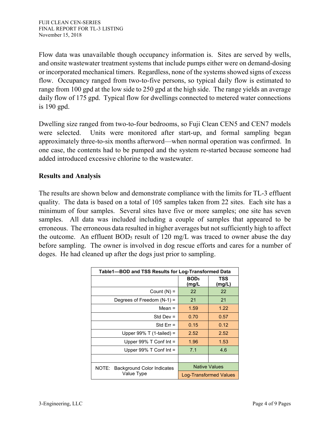Flow data was unavailable though occupancy information is. Sites are served by wells, and onsite wastewater treatment systems that include pumps either were on demand-dosing or incorporated mechanical timers. Regardless, none of the systems showed signs of excess flow. Occupancy ranged from two-to-five persons, so typical daily flow is estimated to range from 100 gpd at the low side to 250 gpd at the high side. The range yields an average daily flow of 175 gpd. Typical flow for dwellings connected to metered water connections is 190 gpd.

Dwelling size ranged from two-to-four bedrooms, so Fuji Clean CEN5 and CEN7 models were selected. Units were monitored after start-up, and formal sampling began approximately three-to-six months afterword—when normal operation was confirmed. In one case, the contents had to be pumped and the system re-started because someone had added introduced excessive chlorine to the wastewater.

# **Results and Analysis**

The results are shown below and demonstrate compliance with the limits for TL-3 effluent quality. The data is based on a total of 105 samples taken from 22 sites. Each site has a minimum of four samples. Several sites have five or more samples; one site has seven samples. All data was included including a couple of samples that appeared to be erroneous. The erroneous data resulted in higher averages but not sufficiently high to affect the outcome. An effluent  $BOD<sub>5</sub>$  result of 120 mg/L was traced to owner abuse the day before sampling. The owner is involved in dog rescue efforts and cares for a number of doges. He had cleaned up after the dogs just prior to sampling.

| Table1-BOD and TSS Results for Log-Transformed Data |                               |               |  |  |
|-----------------------------------------------------|-------------------------------|---------------|--|--|
|                                                     | BOD <sub>5</sub><br>(mg/L     | TSS<br>(mg/L) |  |  |
| Count $(N) =$                                       | 22                            | 22            |  |  |
| Degrees of Freedom $(N-1)$ =                        | 21                            | 21            |  |  |
| Mean $=$                                            | 1.59                          | 1.22          |  |  |
| Std Dev $=$                                         | 0.70                          | 0.57          |  |  |
| Std $Err =$                                         | 0.15                          | 0.12          |  |  |
| Upper 99% T $(1$ -tailed) =                         | 2.52                          | 2.52          |  |  |
| Upper $99\%$ T Conf Int =                           | 1.96                          | 1.53          |  |  |
| Upper $99\%$ T Conf Int =                           | 7.1                           | 4.6           |  |  |
|                                                     |                               |               |  |  |
| <b>Background Color Indicates</b><br>NOTE:          | <b>Native Values</b>          |               |  |  |
| Value Type                                          | <b>Log-Transformed Values</b> |               |  |  |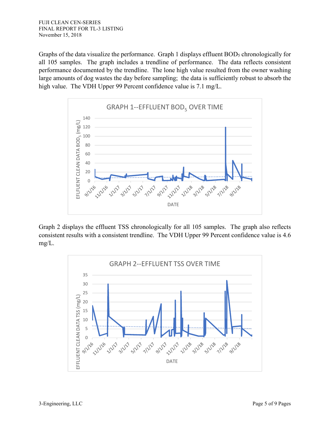Graphs of the data visualize the performance. Graph 1 displays effluent BOD<sub>5</sub> chronologically for all 105 samples. The graph includes a trendline of performance. The data reflects consistent performance documented by the trendline. The lone high value resulted from the owner washing large amounts of dog wastes the day before sampling; the data is sufficiently robust to absorb the high value. The VDH Upper 99 Percent confidence value is 7.1 mg/L.



Graph 2 displays the effluent TSS chronologically for all 105 samples. The graph also reflects consistent results with a consistent trendline. The VDH Upper 99 Percent confidence value is 4.6 mg/L.

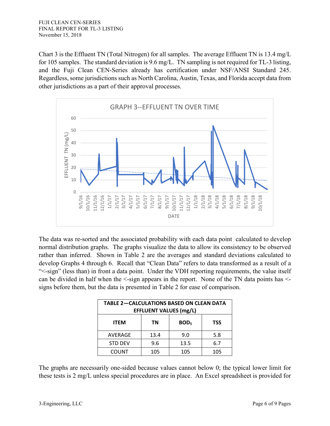Chart 3 is the Effluent TN (Total Nitrogen) for all samples. The average Effluent TN is 13.4 mg/L for 105 samples. The standard deviation is 9.6 mg/L. TN sampling is not required for TL-3 listing, and the Fuji Clean CEN-Series already has certification under NSF/ANSI Standard 245. Regardless, some jurisdictions such as North Carolina, Austin, Texas, and Florida accept data from other jurisdictions as a part of their approval processes.



The data was re-sorted and the associated probability with each data point calculated to develop normal distribution graphs. The graphs visualize the data to allow its consistency to be observed rather than inferred. Shown in Table 2 are the averages and standard deviations calculated to develop Graphs 4 through 6. Recall that "Clean Data" refers to data transformed as a result of a "<-sign" (less than) in front a data point. Under the VDH reporting requirements, the value itself can be divided in half when the  $\le$ -sign appears in the report. None of the TN data points has  $\le$ signs before them, but the data is presented in Table 2 for ease of comparison.

| <b>TABLE 2-CALCULATIONS BASED ON CLEAN DATA</b><br><b>EFFLUENT VALUES (mg/L)</b> |      |            |            |  |  |
|----------------------------------------------------------------------------------|------|------------|------------|--|--|
| <b>ITEM</b>                                                                      | ΤN   | <b>BOD</b> | <b>TSS</b> |  |  |
| AVERAGE                                                                          | 13.4 | 9.0        | 5.8        |  |  |
| <b>STD DEV</b>                                                                   | 9.6  | 13.5       | 6.7        |  |  |
| <b>COUNT</b>                                                                     | 105  | 105        | 105        |  |  |

The graphs are necessarily one-sided because values cannot below 0; the typical lower limit for these tests is 2 mg/L unless special procedures are in place. An Excel spreadsheet is provided for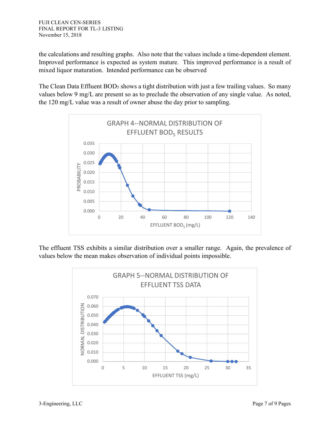the calculations and resulting graphs. Also note that the values include a time-dependent element. Improved performance is expected as system mature. This improved performance is a result of mixed liquor maturation. Intended performance can be observed

The Clean Data Effluent BOD<sub>5</sub> shows a tight distribution with just a few trailing values. So many values below 9 mg/L are present so as to preclude the observation of any single value. As noted, the 120 mg/L value was a result of owner abuse the day prior to sampling.



The effluent TSS exhibits a similar distribution over a smaller range. Again, the prevalence of values below the mean makes observation of individual points impossible.

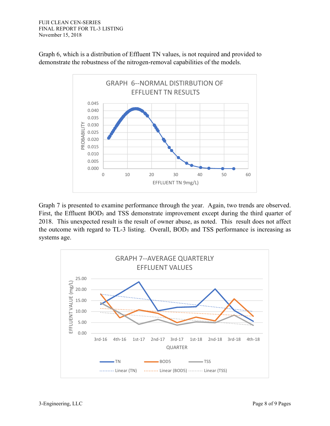

Graph 6, which is a distribution of Effluent TN values, is not required and provided to demonstrate the robustness of the nitrogen-removal capabilities of the models.

Graph 7 is presented to examine performance through the year. Again, two trends are observed. First, the Effluent BOD<sub>5</sub> and TSS demonstrate improvement except during the third quarter of 2018. This unexpected result is the result of owner abuse, as noted. This result does not affect the outcome with regard to TL-3 listing. Overall, BOD<sub>5</sub> and TSS performance is increasing as systems age.

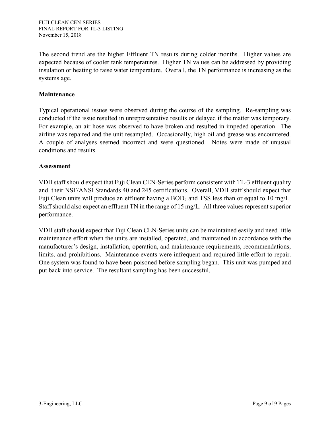The second trend are the higher Effluent TN results during colder months. Higher values are expected because of cooler tank temperatures. Higher TN values can be addressed by providing insulation or heating to raise water temperature. Overall, the TN performance is increasing as the systems age.

#### **Maintenance**

Typical operational issues were observed during the course of the sampling. Re-sampling was conducted if the issue resulted in unrepresentative results or delayed if the matter was temporary. For example, an air hose was observed to have broken and resulted in impeded operation. The airline was repaired and the unit resampled. Occasionally, high oil and grease was encountered. A couple of analyses seemed incorrect and were questioned. Notes were made of unusual conditions and results.

#### **Assessment**

VDH staff should expect that Fuji Clean CEN-Series perform consistent with TL-3 effluent quality and their NSF/ANSI Standards 40 and 245 certifications. Overall, VDH staff should expect that Fuji Clean units will produce an effluent having a BOD<sub>5</sub> and TSS less than or equal to 10 mg/L. Staff should also expect an effluent TN in the range of 15 mg/L. All three values represent superior performance.

VDH staff should expect that Fuji Clean CEN-Series units can be maintained easily and need little maintenance effort when the units are installed, operated, and maintained in accordance with the manufacturer's design, installation, operation, and maintenance requirements, recommendations, limits, and prohibitions. Maintenance events were infrequent and required little effort to repair. One system was found to have been poisoned before sampling began. This unit was pumped and put back into service. The resultant sampling has been successful.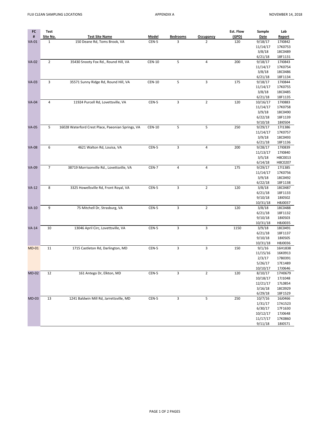| FC           | Test           |                                                   |               |                 |                  | Est. Flow | Sample   | Lab           |
|--------------|----------------|---------------------------------------------------|---------------|-----------------|------------------|-----------|----------|---------------|
| #            | Site No.       | <b>Test Site Name</b>                             | <b>Model</b>  | <b>Bedrooms</b> | <b>Occupancy</b> | (GPD)     | Date     | <b>Report</b> |
| $VA-01$      | $\mathbf{1}$   | 150 Deane Rd, Toms Brook, VA                      | CEN-5         | 3               | $\overline{2}$   | 120       | 9/18/17  | 1710842       |
|              |                |                                                   |               |                 |                  |           | 11/14/17 | 17K0753       |
|              |                |                                                   |               |                 |                  |           | 3/8/18   | 18C0489       |
|              |                |                                                   |               |                 |                  |           | 6/21/18  | 18F1131       |
| <b>VA-02</b> | $\overline{2}$ | 35430 Snooty Fox Rd., Round Hill, VA              | <b>CEN-10</b> | 5               | 4                | 200       | 9/18/17  | 1710843       |
|              |                |                                                   |               |                 |                  |           | 11/14/17 | 17K0754       |
|              |                |                                                   |               |                 |                  |           | 3/8/18   | 18C0486       |
|              |                |                                                   |               |                 |                  |           | 6/21/18  | 18F1134       |
| $VA-03$      | 3              | 35571 Sunny Ridge Rd, Round Hill, VA              | <b>CEN-10</b> | 5               | 3                | 175       | 9/18/17  | 1710844       |
|              |                |                                                   |               |                 |                  |           | 11/14/17 | 17K0755       |
|              |                |                                                   |               |                 |                  |           | 3/8/18   | 18C0485       |
|              |                |                                                   |               |                 |                  |           | 6/21/18  | 18F1135       |
| <b>VA-04</b> | 4              | 11924 Purcell Rd, Lovettsville, VA                | CEN-5         | 3               | $\overline{2}$   | 120       | 10/16/17 | 1710883       |
|              |                |                                                   |               |                 |                  |           | 11/14/17 | 17K0758       |
|              |                |                                                   |               |                 |                  |           | 3/9/18   | 18C0490       |
|              |                |                                                   |               |                 |                  |           | 6/22/18  | 18F1139       |
|              |                |                                                   |               |                 |                  |           | 9/10/18  | 1810504       |
| <b>VA-05</b> | 5              | 16028 Waterford Crest Place, Paeonian Springs, VA | <b>CEN-10</b> | 5               | 5                | 250       | 9/29/17  | 1711386       |
|              |                |                                                   |               |                 |                  |           | 11/14/17 | 17K0757       |
|              |                |                                                   |               |                 |                  |           | 3/9/18   | 18C0493       |
|              |                |                                                   |               |                 |                  |           | 6/21/18  | 18F1136       |
| <b>VA-08</b> | 6              | 4621 Walton Rd, Louisa, VA                        | CEN-5         | $\overline{3}$  | $\sqrt{4}$       | 200       | 9/28/17  | 1710839       |
|              |                |                                                   |               |                 |                  |           | 11/13/17 | 1710840       |
|              |                |                                                   |               |                 |                  |           | 3/5/18   | H8C0013       |
|              |                |                                                   |               |                 |                  |           | 6/14/18  | H8C0207       |
| <b>VA-09</b> | $\overline{7}$ | 38719 Morrisonville Rd., Lovettsville, VA         | CEN-7         | 4               | $\sqrt{4}$       | 175       | 9/29/17  | 1711385       |
|              |                |                                                   |               |                 |                  |           | 11/14/17 | 17K0756       |
|              |                |                                                   |               |                 |                  |           | 3/9/18   | 18C0492       |
|              |                |                                                   |               |                 |                  |           | 6/22/18  | 18F1138       |
| $VA-12$      | 8              | 3325 Howellsville Rd, Front Royal, VA             | CEN-5         | 3               | $\overline{2}$   | 120       | 3/8/18   | 18C0487       |
|              |                |                                                   |               |                 |                  |           | 6/21/18  | 18F1133       |
|              |                |                                                   |               |                 |                  |           | 9/10/18  | 1810502       |
|              |                |                                                   |               |                 |                  |           | 10/31/18 | H8J0037       |
| $VA-10$      | 9              | 75 Mitchell Dr, Strasburg, VA                     | CEN-5         | 3               | $\sqrt{2}$       | 120       | 3/8/18   | 18C0488       |
|              |                |                                                   |               |                 |                  |           | 6/21/18  | 18F1132       |
|              |                |                                                   |               |                 |                  |           | 9/10/18  | 1810503       |
|              |                |                                                   |               |                 |                  |           | 10/31/18 | H8J0035       |
| $VA-14$      | 10             | 13046 April Circ, Lovettsville, VA                | CEN-5         | 3               | 3                | 1150      | 3/9/18   | 18C0491       |
|              |                |                                                   |               |                 |                  |           | 6/21/18  | 18F1137       |
|              |                |                                                   |               |                 |                  |           | 9/10/18  | 1810505       |
|              |                |                                                   |               |                 |                  |           | 10/31/18 | H8J0036       |
| $MD-01$      | 11             | 1715 Castleton Rd, Darlington, MD                 | CEN-5         | 3               | 3                | 150       | 9/1/16   | 16H1838       |
|              |                |                                                   |               |                 |                  |           | 11/15/16 | 16K0913       |
|              |                |                                                   |               |                 |                  |           | 2/3/17   | 17B0391       |
|              |                |                                                   |               |                 |                  |           | 5/26/17  | 17E1489       |
|              |                |                                                   |               |                 |                  |           | 10/10/17 | 17J0646       |
| $MD-02$      | 12             | 161 Antego Dr, Elkton, MD                         | CEN-5         | 3               | $\mathbf 2$      | 120       | 8/10/17  | 17H0679       |
|              |                |                                                   |               |                 |                  |           | 10/18/17 | 17J1048       |
|              |                |                                                   |               |                 |                  |           | 12/21/17 | 17L0854       |
|              |                |                                                   |               |                 |                  |           | 3/16/18  | 18C0929       |
|              |                |                                                   |               |                 |                  |           | 6/29/18  | 18F1529       |
| $MD-03$      | 13             | 1241 Baldwin Mill Rd, Jarrettsville, MD           | $CEN-5$       | 3               | 5                | 250       | 10/7/16  | 16J0466       |
|              |                |                                                   |               |                 |                  |           | 1/31/17  | 17A1523       |
|              |                |                                                   |               |                 |                  |           | 6/30/17  | 17F1630       |
|              |                |                                                   |               |                 |                  |           | 10/12/17 | 17J0648       |
|              |                |                                                   |               |                 |                  |           | 11/17/17 | 17K0860       |
|              |                |                                                   |               |                 |                  |           | 9/11/18  | 1810571       |
|              |                |                                                   |               |                 |                  |           |          |               |